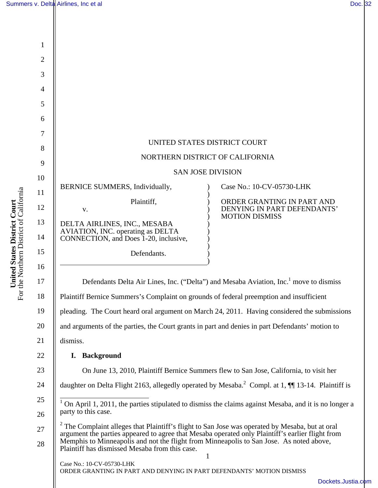| $\mathbf{1}$ |                                                                                                                                                                                                                                                                                                                                                             |                                                                                                   |  |
|--------------|-------------------------------------------------------------------------------------------------------------------------------------------------------------------------------------------------------------------------------------------------------------------------------------------------------------------------------------------------------------|---------------------------------------------------------------------------------------------------|--|
| 2            |                                                                                                                                                                                                                                                                                                                                                             |                                                                                                   |  |
| 3            |                                                                                                                                                                                                                                                                                                                                                             |                                                                                                   |  |
| 4            |                                                                                                                                                                                                                                                                                                                                                             |                                                                                                   |  |
| 5<br>6       |                                                                                                                                                                                                                                                                                                                                                             |                                                                                                   |  |
| 7            |                                                                                                                                                                                                                                                                                                                                                             |                                                                                                   |  |
| 8            | UNITED STATES DISTRICT COURT                                                                                                                                                                                                                                                                                                                                |                                                                                                   |  |
| 9            | NORTHERN DISTRICT OF CALIFORNIA                                                                                                                                                                                                                                                                                                                             |                                                                                                   |  |
| 10           | <b>SAN JOSE DIVISION</b>                                                                                                                                                                                                                                                                                                                                    |                                                                                                   |  |
| 11           | BERNICE SUMMERS, Individually,                                                                                                                                                                                                                                                                                                                              | Case No.: 10-CV-05730-LHK                                                                         |  |
| 12           | Plaintiff,<br>V.                                                                                                                                                                                                                                                                                                                                            | ORDER GRANTING IN PART AND<br>DENYING IN PART DEFENDANTS'<br><b>MOTION DISMISS</b>                |  |
| 13<br>14     | DELTA AIRLINES, INC., MESABA<br>AVIATION, INC. operating as DELTA<br>CONNECTION, and Does 1-20, inclusive,                                                                                                                                                                                                                                                  |                                                                                                   |  |
| 15<br>16     | Defendants.                                                                                                                                                                                                                                                                                                                                                 |                                                                                                   |  |
| 17           |                                                                                                                                                                                                                                                                                                                                                             | Defendants Delta Air Lines, Inc. ("Delta") and Mesaba Aviation, Inc. <sup>1</sup> move to dismiss |  |
| 18           | Plaintiff Bernice Summers's Complaint on grounds of federal preemption and insufficient                                                                                                                                                                                                                                                                     |                                                                                                   |  |
| 19           |                                                                                                                                                                                                                                                                                                                                                             | pleading. The Court heard oral argument on March 24, 2011. Having considered the submissions      |  |
| 20           | and arguments of the parties, the Court grants in part and denies in part Defendants' motion to                                                                                                                                                                                                                                                             |                                                                                                   |  |
| 21           | dismiss.                                                                                                                                                                                                                                                                                                                                                    |                                                                                                   |  |
| 22           | <b>Background</b><br>I.                                                                                                                                                                                                                                                                                                                                     |                                                                                                   |  |
| 23           | On June 13, 2010, Plaintiff Bernice Summers flew to San Jose, California, to visit her                                                                                                                                                                                                                                                                      |                                                                                                   |  |
| 24           | daughter on Delta Flight 2163, allegedly operated by Mesaba. <sup>2</sup> Compl. at 1, $\P$ 13-14. Plaintiff is                                                                                                                                                                                                                                             |                                                                                                   |  |
| 25<br>26     | $1$ On April 1, 2011, the parties stipulated to dismiss the claims against Mesaba, and it is no longer a<br>party to this case.                                                                                                                                                                                                                             |                                                                                                   |  |
| 27<br>28     | <sup>2</sup> The Complaint alleges that Plaintiff's flight to San Jose was operated by Mesaba, but at oral<br>argument the parties appeared to agree that Mesaba operated only Plaintiff's earlier flight from<br>Memphis to Minneapolis and not the flight from Minneapolis to San Jose. As noted above,<br>Plaintiff has dismissed Mesaba from this case. |                                                                                                   |  |
|              | Case No.: 10-CV-05730-LHK                                                                                                                                                                                                                                                                                                                                   | $\mathbf{1}$                                                                                      |  |
|              | ORDER GRANTING IN PART AND DENYING IN PART DEFENDANTS' MOTION DISMISS                                                                                                                                                                                                                                                                                       | Dockets.Justia.c                                                                                  |  |
|              |                                                                                                                                                                                                                                                                                                                                                             |                                                                                                   |  |

United States District Court<br>For the Northern District of California For the Northern District of California **United States District Court**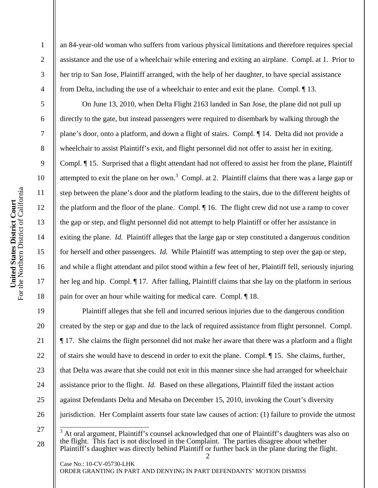2

3

4

5

6

7

8

9

10

11

12

13

14

15

16

17

18

19

20

21

22

23

24

25

26

an 84-year-old woman who suffers from various physical limitations and therefore requires special assistance and the use of a wheelchair while entering and exiting an airplane. Compl. at 1. Prior to her trip to San Jose, Plaintiff arranged, with the help of her daughter, to have special assistance from Delta, including the use of a wheelchair to enter and exit the plane. Compl. ¶ 13.

On June 13, 2010, when Delta Flight 2163 landed in San Jose, the plane did not pull up directly to the gate, but instead passengers were required to disembark by walking through the plane's door, onto a platform, and down a flight of stairs. Compl. ¶ 14. Delta did not provide a wheelchair to assist Plaintiff's exit, and flight personnel did not offer to assist her in exiting. Compl. ¶ 15. Surprised that a flight attendant had not offered to assist her from the plane, Plaintiff attempted to exit the plane on her own.<sup>3</sup> Compl. at 2. Plaintiff claims that there was a large gap or step between the plane's door and the platform leading to the stairs, due to the different heights of the platform and the floor of the plane. Compl. ¶ 16. The flight crew did not use a ramp to cover the gap or step, and flight personnel did not attempt to help Plaintiff or offer her assistance in exiting the plane. *Id.* Plaintiff alleges that the large gap or step constituted a dangerous condition for herself and other passengers. *Id.* While Plaintiff was attempting to step over the gap or step, and while a flight attendant and pilot stood within a few feet of her, Plaintiff fell, seriously injuring her leg and hip. Compl. ¶ 17. After falling, Plaintiff claims that she lay on the platform in serious pain for over an hour while waiting for medical care. Compl. ¶ 18.

Plaintiff alleges that she fell and incurred serious injuries due to the dangerous condition created by the step or gap and due to the lack of required assistance from flight personnel. Compl. ¶ 17. She claims the flight personnel did not make her aware that there was a platform and a flight of stairs she would have to descend in order to exit the plane. Compl. ¶ 15. She claims, further, that Delta was aware that she could not exit in this manner since she had arranged for wheelchair assistance prior to the flight. *Id.* Based on these allegations, Plaintiff filed the instant action against Defendants Delta and Mesaba on December 15, 2010, invoking the Court's diversity jurisdiction. Her Complaint asserts four state law causes of action: (1) failure to provide the utmost

27 28 <sup>3</sup> At oral argument, Plaintiff's counsel acknowledged that one of Plaintiff's daughters was also on the flight. This fact is not disclosed in the Complaint. The parties disagree about whether Plaintiff's daughter was directly behind Plaintiff or further back in the plane during the flight.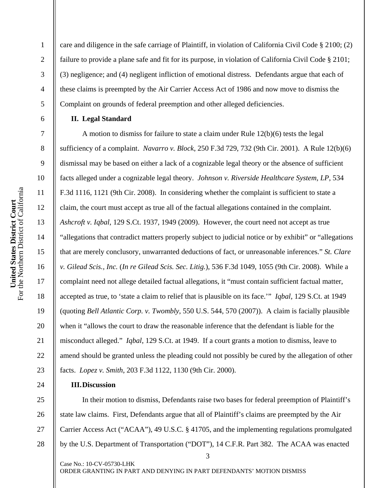1 2 3 4 5 6 7 care and diligence in the safe carriage of Plaintiff, in violation of California Civil Code § 2100; (2) failure to provide a plane safe and fit for its purpose, in violation of California Civil Code § 2101; (3) negligence; and (4) negligent infliction of emotional distress. Defendants argue that each of these claims is preempted by the Air Carrier Access Act of 1986 and now move to dismiss the Complaint on grounds of federal preemption and other alleged deficiencies. **II. Legal Standard** 

A motion to dismiss for failure to state a claim under Rule 12(b)(6) tests the legal sufficiency of a complaint. *Navarro v. Block*, 250 F.3d 729, 732 (9th Cir. 2001). A Rule 12(b)(6) dismissal may be based on either a lack of a cognizable legal theory or the absence of sufficient facts alleged under a cognizable legal theory. *Johnson v. Riverside Healthcare System, LP*, 534 F.3d 1116, 1121 (9th Cir. 2008). In considering whether the complaint is sufficient to state a claim, the court must accept as true all of the factual allegations contained in the complaint. *Ashcroft v. Iqbal*, 129 S.Ct. 1937, 1949 (2009). However, the court need not accept as true "allegations that contradict matters properly subject to judicial notice or by exhibit" or "allegations that are merely conclusory, unwarranted deductions of fact, or unreasonable inferences." *St. Clare v. Gilead Scis., Inc.* (*In re Gilead Scis. Sec. Litig.*), 536 F.3d 1049, 1055 (9th Cir. 2008). While a complaint need not allege detailed factual allegations, it "must contain sufficient factual matter, accepted as true, to 'state a claim to relief that is plausible on its face.'" *Iqbal*, 129 S.Ct. at 1949 (quoting *Bell Atlantic Corp. v. Twombly*, 550 U.S. 544, 570 (2007)). A claim is facially plausible when it "allows the court to draw the reasonable inference that the defendant is liable for the misconduct alleged." *Iqbal*, 129 S.Ct. at 1949. If a court grants a motion to dismiss, leave to amend should be granted unless the pleading could not possibly be cured by the allegation of other facts. *Lopez v. Smith*, 203 F.3d 1122, 1130 (9th Cir. 2000).

## **III.Discussion**

3 25 26 27 28 In their motion to dismiss, Defendants raise two bases for federal preemption of Plaintiff's state law claims. First, Defendants argue that all of Plaintiff's claims are preempted by the Air Carrier Access Act ("ACAA"), 49 U.S.C. § 41705, and the implementing regulations promulgated by the U.S. Department of Transportation ("DOT"), 14 C.F.R. Part 382. The ACAA was enacted

Case No.: 10-CV-05730-LHK ORDER GRANTING IN PART AND DENYING IN PART DEFENDANTS' MOTION DISMISS

8

9

10

11

12

13

14

15

16

17

18

19

20

21

22

23

24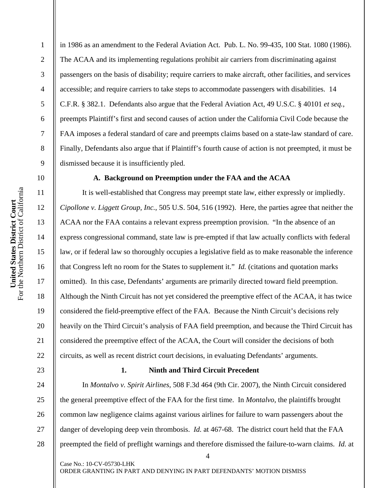in 1986 as an amendment to the Federal Aviation Act. Pub. L. No. 99-435, 100 Stat. 1080 (1986). The ACAA and its implementing regulations prohibit air carriers from discriminating against passengers on the basis of disability; require carriers to make aircraft, other facilities, and services accessible; and require carriers to take steps to accommodate passengers with disabilities. 14 C.F.R. § 382.1. Defendants also argue that the Federal Aviation Act, 49 U.S.C. § 40101 *et seq.*, preempts Plaintiff's first and second causes of action under the California Civil Code because the FAA imposes a federal standard of care and preempts claims based on a state-law standard of care. Finally, Defendants also argue that if Plaintiff's fourth cause of action is not preempted, it must be dismissed because it is insufficiently pled.

## **A. Background on Preemption under the FAA and the ACAA**

It is well-established that Congress may preempt state law, either expressly or impliedly. *Cipollone v. Liggett Group, Inc.*, 505 U.S. 504, 516 (1992). Here, the parties agree that neither the ACAA nor the FAA contains a relevant express preemption provision. "In the absence of an express congressional command, state law is pre-empted if that law actually conflicts with federal law, or if federal law so thoroughly occupies a legislative field as to make reasonable the inference that Congress left no room for the States to supplement it." *Id.* (citations and quotation marks omitted). In this case, Defendants' arguments are primarily directed toward field preemption. Although the Ninth Circuit has not yet considered the preemptive effect of the ACAA, it has twice considered the field-preemptive effect of the FAA. Because the Ninth Circuit's decisions rely heavily on the Third Circuit's analysis of FAA field preemption, and because the Third Circuit has considered the preemptive effect of the ACAA, the Court will consider the decisions of both circuits, as well as recent district court decisions, in evaluating Defendants' arguments.

# **1. Ninth and Third Circuit Precedent**

In *Montalvo v. Spirit Airlines*, 508 F.3d 464 (9th Cir. 2007), the Ninth Circuit considered the general preemptive effect of the FAA for the first time. In *Montalvo*, the plaintiffs brought common law negligence claims against various airlines for failure to warn passengers about the danger of developing deep vein thrombosis. *Id.* at 467-68. The district court held that the FAA preempted the field of preflight warnings and therefore dismissed the failure-to-warn claims. *Id.* at

4

United States District Court<br>For the Northern District of California For the Northern District of California **United States District Court** 

1

2

3

4

5

6

7

8

9

10

11

12

13

14

15

16

17

18

19

20

21

22

23

24

25

26

27

28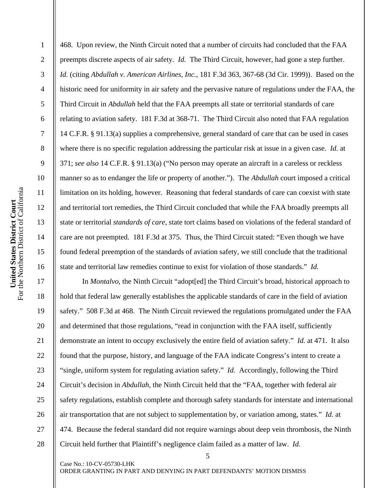2

3

4

5

6

7

8

9

10

11

12

13

14

15

16

17

18

19

20

21

22

23

24

25

26

27

28

468. Upon review, the Ninth Circuit noted that a number of circuits had concluded that the FAA preempts discrete aspects of air safety. *Id.* The Third Circuit, however, had gone a step further. *Id.* (citing *Abdullah v. American Airlines, Inc.*, 181 F.3d 363, 367-68 (3d Cir. 1999)). Based on the historic need for uniformity in air safety and the pervasive nature of regulations under the FAA, the Third Circuit in *Abdullah* held that the FAA preempts all state or territorial standards of care relating to aviation safety. 181 F.3d at 368-71. The Third Circuit also noted that FAA regulation 14 C.F.R. § 91.13(a) supplies a comprehensive, general standard of care that can be used in cases where there is no specific regulation addressing the particular risk at issue in a given case. *Id.* at 371; *see also* 14 C.F.R. § 91.13(a) ("No person may operate an aircraft in a careless or reckless manner so as to endanger the life or property of another."). The *Abdullah* court imposed a critical limitation on its holding, however. Reasoning that federal standards of care can coexist with state and territorial tort remedies, the Third Circuit concluded that while the FAA broadly preempts all state or territorial *standards of care*, state tort claims based on violations of the federal standard of care are not preempted. 181 F.3d at 375. Thus, the Third Circuit stated: "Even though we have found federal preemption of the standards of aviation safety, we still conclude that the traditional state and territorial law remedies continue to exist for violation of those standards." *Id.*

In *Montalvo*, the Ninth Circuit "adopt[ed] the Third Circuit's broad, historical approach to hold that federal law generally establishes the applicable standards of care in the field of aviation safety." 508 F.3d at 468. The Ninth Circuit reviewed the regulations promulgated under the FAA and determined that those regulations, "read in conjunction with the FAA itself, sufficiently demonstrate an intent to occupy exclusively the entire field of aviation safety." *Id.* at 471. It also found that the purpose, history, and language of the FAA indicate Congress's intent to create a "single, uniform system for regulating aviation safety." *Id.* Accordingly, following the Third Circuit's decision in *Abdullah*, the Ninth Circuit held that the "FAA, together with federal air safety regulations, establish complete and thorough safety standards for interstate and international air transportation that are not subject to supplementation by, or variation among, states." *Id.* at 474. Because the federal standard did not require warnings about deep vein thrombosis, the Ninth Circuit held further that Plaintiff's negligence claim failed as a matter of law. *Id.*

5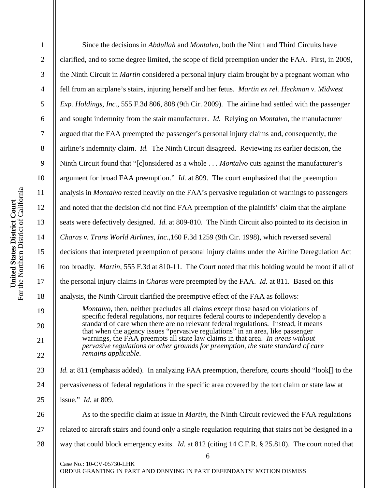| $\mathbf{1}$   | Since the decisions in <i>Abdullah</i> and <i>Montalvo</i> , both the Ninth and Third Circuits have                                                                              |  |
|----------------|----------------------------------------------------------------------------------------------------------------------------------------------------------------------------------|--|
| $\overline{2}$ | clarified, and to some degree limited, the scope of field preemption under the FAA. First, in 2009,                                                                              |  |
| 3              | the Ninth Circuit in <i>Martin</i> considered a personal injury claim brought by a pregnant woman who                                                                            |  |
| $\overline{4}$ | fell from an airplane's stairs, injuring herself and her fetus. Martin ex rel. Heckman v. Midwest                                                                                |  |
| 5              | Exp. Holdings, Inc., 555 F.3d 806, 808 (9th Cir. 2009). The airline had settled with the passenger                                                                               |  |
| 6              | and sought indemnity from the stair manufacturer. Id. Relying on Montalvo, the manufacturer                                                                                      |  |
| $\overline{7}$ | argued that the FAA preempted the passenger's personal injury claims and, consequently, the                                                                                      |  |
| 8              | airline's indemnity claim. Id. The Ninth Circuit disagreed. Reviewing its earlier decision, the                                                                                  |  |
| 9              | Ninth Circuit found that "[c]onsidered as a whole Montalvo cuts against the manufacturer's                                                                                       |  |
| 10             | argument for broad FAA preemption." <i>Id.</i> at 809. The court emphasized that the preemption                                                                                  |  |
| 11             | analysis in <i>Montalvo</i> rested heavily on the FAA's pervasive regulation of warnings to passengers                                                                           |  |
| 12             | and noted that the decision did not find FAA preemption of the plaintiffs' claim that the airplane                                                                               |  |
| 13             | seats were defectively designed. <i>Id.</i> at 809-810. The Ninth Circuit also pointed to its decision in                                                                        |  |
| 14             | Charas v. Trans World Airlines, Inc., 160 F.3d 1259 (9th Cir. 1998), which reversed several                                                                                      |  |
| 15             | decisions that interpreted preemption of personal injury claims under the Airline Deregulation Act                                                                               |  |
| 16             | too broadly. Martin, 555 F.3d at 810-11. The Court noted that this holding would be moot if all of                                                                               |  |
| 17             | the personal injury claims in <i>Charas</i> were preempted by the FAA. <i>Id.</i> at 811. Based on this                                                                          |  |
| 18             | analysis, the Ninth Circuit clarified the preemptive effect of the FAA as follows:                                                                                               |  |
| 19             | <i>Montalvo</i> , then, neither precludes all claims except those based on violations of<br>specific federal regulations, nor requires federal courts to independently develop a |  |
| 20             | standard of care when there are no relevant federal regulations. Instead, it means<br>that when the agency issues "pervasive regulations" in an area, like passenger             |  |
| 21             | warnings, the FAA preempts all state law claims in that area. In areas without<br>pervasive regulations or other grounds for preemption, the state standard of care              |  |
| 22             | remains applicable.                                                                                                                                                              |  |
| 23             | <i>Id.</i> at 811 (emphasis added). In analyzing FAA preemption, therefore, courts should "look[] to the                                                                         |  |
| 24             | pervasiveness of federal regulations in the specific area covered by the tort claim or state law at                                                                              |  |
| 25             | issue." <i>Id.</i> at 809.                                                                                                                                                       |  |
| 26             | As to the specific claim at issue in <i>Martin</i> , the Ninth Circuit reviewed the FAA regulations                                                                              |  |
| 27             | related to aircraft stairs and found only a single regulation requiring that stairs not be designed in a                                                                         |  |
| 28             | way that could block emergency exits. <i>Id.</i> at 812 (citing 14 C.F.R. § 25.810). The court noted that                                                                        |  |
|                | 6<br>Case No.: 10-CV-05730-LHK                                                                                                                                                   |  |
|                | ORDER GRANTING IN PART AND DENYING IN PART DEFENDANTS' MOTION DISMISS                                                                                                            |  |
|                |                                                                                                                                                                                  |  |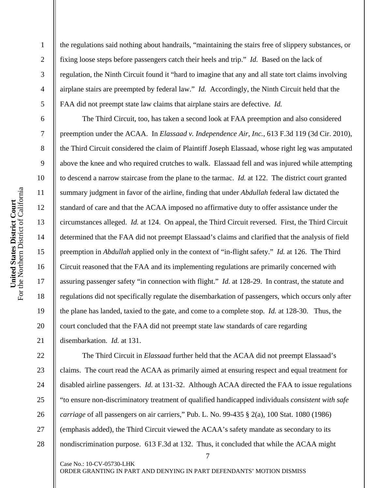2

3

4

5

6

7

8

9

10

11

12

13

14

15

16

17

18

19

20

21

the regulations said nothing about handrails, "maintaining the stairs free of slippery substances, or fixing loose steps before passengers catch their heels and trip." *Id.* Based on the lack of regulation, the Ninth Circuit found it "hard to imagine that any and all state tort claims involving airplane stairs are preempted by federal law." *Id.* Accordingly, the Ninth Circuit held that the FAA did not preempt state law claims that airplane stairs are defective. *Id.* 

The Third Circuit, too, has taken a second look at FAA preemption and also considered preemption under the ACAA. In *Elassaad v. Independence Air, Inc.*, 613 F.3d 119 (3d Cir. 2010), the Third Circuit considered the claim of Plaintiff Joseph Elassaad, whose right leg was amputated above the knee and who required crutches to walk. Elassaad fell and was injured while attempting to descend a narrow staircase from the plane to the tarmac. *Id.* at 122. The district court granted summary judgment in favor of the airline, finding that under *Abdullah* federal law dictated the standard of care and that the ACAA imposed no affirmative duty to offer assistance under the circumstances alleged. *Id.* at 124. On appeal, the Third Circuit reversed. First, the Third Circuit determined that the FAA did not preempt Elassaad's claims and clarified that the analysis of field preemption in *Abdullah* applied only in the context of "in-flight safety." *Id.* at 126. The Third Circuit reasoned that the FAA and its implementing regulations are primarily concerned with assuring passenger safety "in connection with flight." *Id.* at 128-29. In contrast, the statute and regulations did not specifically regulate the disembarkation of passengers, which occurs only after the plane has landed, taxied to the gate, and come to a complete stop. *Id.* at 128-30. Thus, the court concluded that the FAA did not preempt state law standards of care regarding disembarkation. *Id.* at 131.

7 22 23 24 25 26 27 28 The Third Circuit in *Elassaad* further held that the ACAA did not preempt Elassaad's claims. The court read the ACAA as primarily aimed at ensuring respect and equal treatment for disabled airline passengers. *Id.* at 131-32. Although ACAA directed the FAA to issue regulations "to ensure non-discriminatory treatment of qualified handicapped individuals *consistent with safe carriage* of all passengers on air carriers," Pub. L. No. 99-435 § 2(a), 100 Stat. 1080 (1986) (emphasis added), the Third Circuit viewed the ACAA's safety mandate as secondary to its nondiscrimination purpose. 613 F.3d at 132. Thus, it concluded that while the ACAA might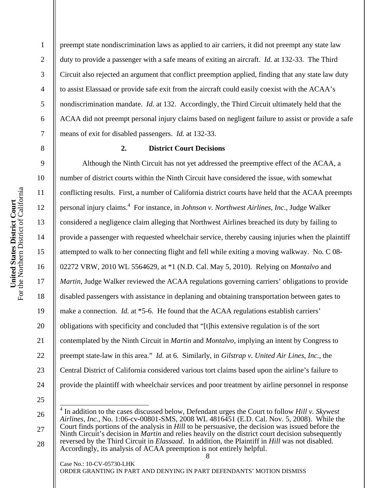preempt state nondiscrimination laws as applied to air carriers, it did not preempt any state law duty to provide a passenger with a safe means of exiting an aircraft. *Id.* at 132-33. The Third Circuit also rejected an argument that conflict preemption applied, finding that any state law duty to assist Elassaad or provide safe exit from the aircraft could easily coexist with the ACAA's nondiscrimination mandate. *Id.* at 132. Accordingly, the Third Circuit ultimately held that the ACAA did not preempt personal injury claims based on negligent failure to assist or provide a safe means of exit for disabled passengers. *Id.* at 132-33.

1

2

3

4

5

6

7

8

9

10

11

12

13

14

15

16

17

18

19

20

21

22

23

24

### **2. District Court Decisions**

Although the Ninth Circuit has not yet addressed the preemptive effect of the ACAA, a number of district courts within the Ninth Circuit have considered the issue, with somewhat conflicting results. First, a number of California district courts have held that the ACAA preempts personal injury claims.<sup>4</sup> For instance, in *Johnson v. Northwest Airlines, Inc.*, Judge Walker considered a negligence claim alleging that Northwest Airlines breached its duty by failing to provide a passenger with requested wheelchair service, thereby causing injuries when the plaintiff attempted to walk to her connecting flight and fell while exiting a moving walkway. No. C 08- 02272 VRW, 2010 WL 5564629, at \*1 (N.D. Cal. May 5, 2010). Relying on *Montalvo* and *Martin*, Judge Walker reviewed the ACAA regulations governing carriers' obligations to provide disabled passengers with assistance in deplaning and obtaining transportation between gates to make a connection. *Id.* at \*5-6. He found that the ACAA regulations establish carriers' obligations with specificity and concluded that "[t]his extensive regulation is of the sort contemplated by the Ninth Circuit in *Martin* and *Montalvo*, implying an intent by Congress to preempt state-law in this area." *Id.* at 6. Similarly, in *Gilstrap v. United Air Lines, Inc.*, the Central District of California considered various tort claims based upon the airline's failure to provide the plaintiff with wheelchair services and poor treatment by airline personnel in response

25

26

27

28

 4 In addition to the cases discussed below, Defendant urges the Court to follow *Hill v. Skywest Airlines, Inc.*, No. 1:06-cv-00801-SMS, 2008 WL 4816451 (E.D. Cal. Nov. 5, 2008). While the Court finds portions of the analysis in *Hill* to be persuasive, the decision was issued before the Ninth Circuit's decision in *Martin* and relies heavily on the district court decision subsequently reversed by the Third Circuit in *Elassaad*. In addition, the Plaintiff in *Hill* was not disabled. Accordingly, its analysis of ACAA preemption is not entirely helpful.

8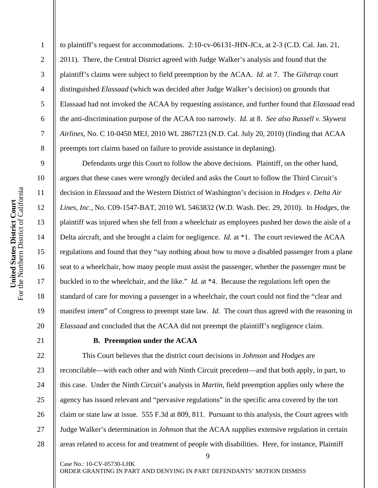to plaintiff's request for accommodations. 2:10-cv-06131-JHN-JCx, at 2-3 (C.D. Cal. Jan. 21, 2011). There, the Central District agreed with Judge Walker's analysis and found that the plaintiff's claims were subject to field preemption by the ACAA. *Id.* at 7. The *Gilstrap* court distinguished *Elassaad* (which was decided after Judge Walker's decision) on grounds that Elassaad had not invoked the ACAA by requesting assistance, and further found that *Elassaad* read the anti-discrimination purpose of the ACAA too narrowly. *Id.* at 8. *See also Russell v. Skywest Airlines*, No. C 10-0450 MEJ, 2010 WL 2867123 (N.D. Cal. July 20, 2010) (finding that ACAA preempts tort claims based on failure to provide assistance in deplaning).

Defendants urge this Court to follow the above decisions. Plaintiff, on the other hand, argues that these cases were wrongly decided and asks the Court to follow the Third Circuit's decision in *Elassaad* and the Western District of Washington's decision in *Hodges v. Delta Air Lines, Inc.*, No. C09-1547-BAT, 2010 WL 5463832 (W.D. Wash. Dec. 29, 2010). In *Hodges*, the plaintiff was injured when she fell from a wheelchair as employees pushed her down the aisle of a Delta aircraft, and she brought a claim for negligence. *Id.* at \*1. The court reviewed the ACAA regulations and found that they "say nothing about how to move a disabled passenger from a plane seat to a wheelchair, how many people must assist the passenger, whether the passenger must be buckled in to the wheelchair, and the like." *Id.* at \*4. Because the regulations left open the standard of care for moving a passenger in a wheelchair, the court could not find the "clear and manifest intent" of Congress to preempt state law. *Id.* The court thus agreed with the reasoning in *Elassaad* and concluded that the ACAA did not preempt the plaintiff's negligence claim.

### **B. Preemption under the ACAA**

This Court believes that the district court decisions in *Johnson* and *Hodges* are reconcilable—with each other and with Ninth Circuit precedent—and that both apply, in part, to this case. Under the Ninth Circuit's analysis in *Martin*, field preemption applies only where the agency has issued relevant and "pervasive regulations" in the specific area covered by the tort claim or state law at issue. 555 F.3d at 809, 811. Pursuant to this analysis, the Court agrees with Judge Walker's determination in *Johnson* that the ACAA supplies extensive regulation in certain areas related to access for and treatment of people with disabilities. Here, for instance, Plaintiff

9

Case No.: 10-CV-05730-LHK ORDER GRANTING IN PART AND DENYING IN PART DEFENDANTS' MOTION DISMISS

1

2

3

4

5

6

7

8

9

10

11

12

13

14

15

16

17

18

19

20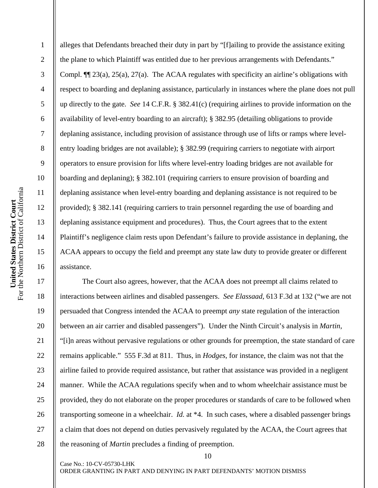2

3

4

5

6

7

8

9

10

11

12

13

14

15

16

17

18

19

20

21

22

23

24

25

26

27

28

alleges that Defendants breached their duty in part by "[f]ailing to provide the assistance exiting the plane to which Plaintiff was entitled due to her previous arrangements with Defendants." Compl. ¶¶ 23(a), 25(a), 27(a). The ACAA regulates with specificity an airline's obligations with respect to boarding and deplaning assistance, particularly in instances where the plane does not pull up directly to the gate. *See* 14 C.F.R. § 382.41(c) (requiring airlines to provide information on the availability of level-entry boarding to an aircraft); § 382.95 (detailing obligations to provide deplaning assistance, including provision of assistance through use of lifts or ramps where levelentry loading bridges are not available); § 382.99 (requiring carriers to negotiate with airport operators to ensure provision for lifts where level-entry loading bridges are not available for boarding and deplaning); § 382.101 (requiring carriers to ensure provision of boarding and deplaning assistance when level-entry boarding and deplaning assistance is not required to be provided); § 382.141 (requiring carriers to train personnel regarding the use of boarding and deplaning assistance equipment and procedures). Thus, the Court agrees that to the extent Plaintiff's negligence claim rests upon Defendant's failure to provide assistance in deplaning, the ACAA appears to occupy the field and preempt any state law duty to provide greater or different assistance.

The Court also agrees, however, that the ACAA does not preempt all claims related to interactions between airlines and disabled passengers. *See Elassaad*, 613 F.3d at 132 ("we are not persuaded that Congress intended the ACAA to preempt *any* state regulation of the interaction between an air carrier and disabled passengers"). Under the Ninth Circuit's analysis in *Martin*, "[i]n areas without pervasive regulations or other grounds for preemption, the state standard of care remains applicable." 555 F.3d at 811. Thus, in *Hodges*, for instance, the claim was not that the airline failed to provide required assistance, but rather that assistance was provided in a negligent manner. While the ACAA regulations specify when and to whom wheelchair assistance must be provided, they do not elaborate on the proper procedures or standards of care to be followed when transporting someone in a wheelchair. *Id.* at \*4. In such cases, where a disabled passenger brings a claim that does not depend on duties pervasively regulated by the ACAA, the Court agrees that the reasoning of *Martin* precludes a finding of preemption.

10

ORDER GRANTING IN PART AND DENYING IN PART DEFENDANTS' MOTION DISMISS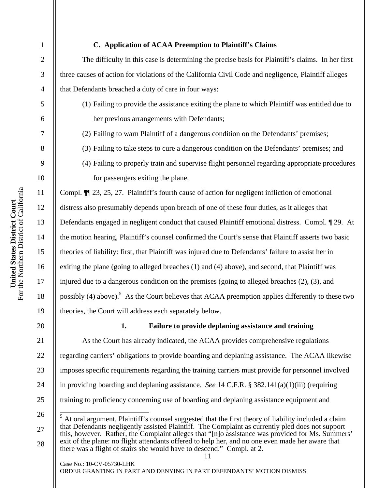**United States District Court**  For the Northern District of California

United States District Court<br>the Northern District of California

For  $t$ 

1

2

3

4

5

6

7

8

9

## **C. Application of ACAA Preemption to Plaintiff's Claims**

The difficulty in this case is determining the precise basis for Plaintiff's claims. In her first three causes of action for violations of the California Civil Code and negligence, Plaintiff alleges that Defendants breached a duty of care in four ways:

- (1) Failing to provide the assistance exiting the plane to which Plaintiff was entitled due to her previous arrangements with Defendants;
- (2) Failing to warn Plaintiff of a dangerous condition on the Defendants' premises;
- (3) Failing to take steps to cure a dangerous condition on the Defendants' premises; and
- (4) Failing to properly train and supervise flight personnel regarding appropriate procedures for passengers exiting the plane.

Compl. ¶¶ 23, 25, 27. Plaintiff's fourth cause of action for negligent infliction of emotional distress also presumably depends upon breach of one of these four duties, as it alleges that Defendants engaged in negligent conduct that caused Plaintiff emotional distress. Compl. ¶ 29. At the motion hearing, Plaintiff's counsel confirmed the Court's sense that Plaintiff asserts two basic theories of liability: first, that Plaintiff was injured due to Defendants' failure to assist her in exiting the plane (going to alleged breaches (1) and (4) above), and second, that Plaintiff was injured due to a dangerous condition on the premises (going to alleged breaches (2), (3), and possibly (4) above).<sup>5</sup> As the Court believes that ACAA preemption applies differently to these two theories, the Court will address each separately below.

27

28

## **1. Failure to provide deplaning assistance and training**

 As the Court has already indicated, the ACAA provides comprehensive regulations regarding carriers' obligations to provide boarding and deplaning assistance. The ACAA likewise imposes specific requirements regarding the training carriers must provide for personnel involved in providing boarding and deplaning assistance. *See* 14 C.F.R. § 382.141(a)(1)(iii) (requiring training to proficiency concerning use of boarding and deplaning assistance equipment and

<sup>5</sup> At oral argument, Plaintiff's counsel suggested that the first theory of liability included a claim that Defendants negligently assisted Plaintiff. The Complaint as currently pled does not support this, however. Rather, the Complaint alleges that "[n]o assistance was provided for Ms. Summers' exit of the plane: no flight attendants offered to help her, and no one even made her aware that there was a flight of stairs she would have to descend." Compl. at 2.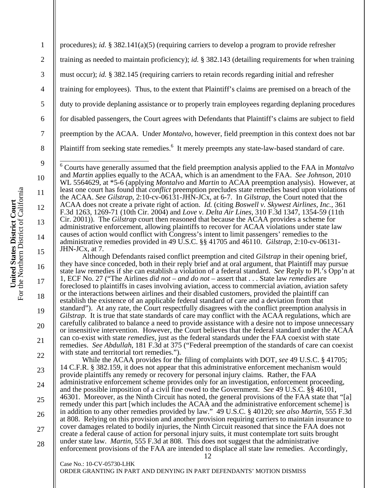12 Case No.: 10-CV-05730-LHK 1 2 3 4 5 6 7 8 9 10 11 12 13 14 15 16 17 18 19 20 21 22 23 24 25 26 27 28 procedures); *id.* § 382.141(a)(5) (requiring carriers to develop a program to provide refresher training as needed to maintain proficiency); *id.* § 382.143 (detailing requirements for when training must occur); *id.* § 382.145 (requiring carriers to retain records regarding initial and refresher training for employees). Thus, to the extent that Plaintiff's claims are premised on a breach of the duty to provide deplaning assistance or to properly train employees regarding deplaning procedures for disabled passengers, the Court agrees with Defendants that Plaintiff's claims are subject to field preemption by the ACAA. Under *Montalvo*, however, field preemption in this context does not bar Plaintiff from seeking state remedies.<sup>6</sup> It merely preempts any state-law-based standard of care. 6 Courts have generally assumed that the field preemption analysis applied to the FAA in *Montalvo* and *Martin* applies equally to the ACAA, which is an amendment to the FAA. *See Johnson*, 2010 WL 5564629, at \*5-6 (applying *Montalvo* and *Martin* to ACAA preemption analysis). However, at least one court has found that *conflict* preemption precludes state remedies based upon violations of the ACAA. *See Gilstrap*, 2:10-cv-06131-JHN-JCx, at 6-7. In *Gilstrap*, the Court noted that the ACAA does not create a private right of action. *Id.* (citing *Boswell v. Skywest Airlines, Inc.*, 361 F.3d 1263, 1269-71 (10th Cir. 2004) and *Love v. Delta Air Lines*, 310 F.3d 1347, 1354-59 (11th Cir. 2001)). The *Gilstrap* court then reasoned that because the ACAA provides a scheme for administrative enforcement, allowing plaintiffs to recover for ACAA violations under state law causes of action would conflict with Congress's intent to limit passengers' remedies to the administrative remedies provided in 49 U.S.C. §§ 41705 and 46110. *Gilstrap*, 2:10-cv-06131- JHN-JCx, at 7. Although Defendants raised conflict preemption and cited *Gilstrap* in their opening brief, they have since conceded, both in their reply brief and at oral argument, that Plaintiff may pursue state law remedies if she can establish a violation of a federal standard. *See* Reply to Pl.'s Opp'n at 1, ECF No. 27 ("The Airlines *did not – and do not –* assert that . . . State law *remedies* are foreclosed to plaintiffs in cases involving aviation, access to commercial aviation, aviation safety or the interactions between airlines and their disabled customers, provided the plaintiff can establish the existence of an applicable federal standard of care and a deviation from that standard"). At any rate, the Court respectfully disagrees with the conflict preemption analysis in *Gilstrap*. It is true that state standards of care may conflict with the ACAA regulations, which are carefully calibrated to balance a need to provide assistance with a desire not to impose unnecessary or insensitive intervention. However, the Court believes that the federal standard under the ACAA can co-exist with state *remedies*, just as the federal standards under the FAA coexist with state remedies. *See Abdullah*, 181 F.3d at 375 ("Federal preemption of the standards of care can coexist with state and territorial tort remedies."). While the ACAA provides for the filing of complaints with DOT, *see* 49 U.S.C. § 41705; 14 C.F.R. § 382.159, it does not appear that this administrative enforcement mechanism would provide plaintiffs any remedy or recovery for personal injury claims. Rather, the FAA administrative enforcement scheme provides only for an investigation, enforcement proceeding, and the possible imposition of a civil fine owed to the Government. *See* 49 U.S.C. §§ 46101, 46301. Moreover, as the Ninth Circuit has noted, the general provisions of the FAA state that "[a] remedy under this part [which includes the ACAA and the administrative enforcement scheme] is in addition to any other remedies provided by law." 49 U.S.C. § 40120; *see also Martin*, 555 F.3d at 808. Relying on this provision and another provision requiring carriers to maintain insurance to cover damages related to bodily injuries, the Ninth Circuit reasoned that since the FAA does not create a federal cause of action for personal injury suits, it must contemplate tort suits brought under state law. *Martin*, 555 F.3d at 808. This does not suggest that the administrative enforcement provisions of the FAA are intended to displace all state law remedies. Accordingly,

ORDER GRANTING IN PART AND DENYING IN PART DEFENDANTS' MOTION DISMISS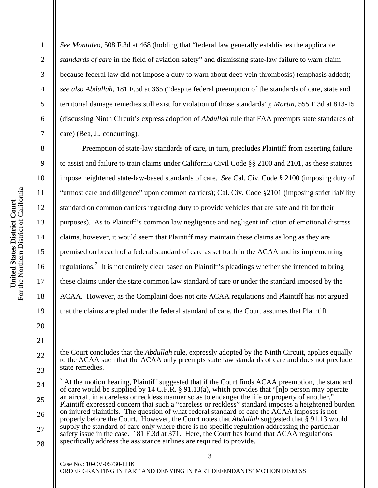2

3

4

5

6

7

8

9

10

11

12

13

14

15

16

17

18

19

20

21

 $\overline{\phantom{a}}$ 

22

23

24

25

26

27

28

*See Montalvo*, 508 F.3d at 468 (holding that "federal law generally establishes the applicable *standards of care* in the field of aviation safety" and dismissing state-law failure to warn claim because federal law did not impose a duty to warn about deep vein thrombosis) (emphasis added); *see also Abdullah*, 181 F.3d at 365 ("despite federal preemption of the standards of care, state and territorial damage remedies still exist for violation of those standards"); *Martin*, 555 F.3d at 813-15 (discussing Ninth Circuit's express adoption of *Abdullah* rule that FAA preempts state standards of care) (Bea, J., concurring).

Preemption of state-law standards of care, in turn, precludes Plaintiff from asserting failure to assist and failure to train claims under California Civil Code §§ 2100 and 2101, as these statutes impose heightened state-law-based standards of care. *See* Cal. Civ. Code § 2100 (imposing duty of "utmost care and diligence" upon common carriers); Cal. Civ. Code §2101 (imposing strict liability standard on common carriers regarding duty to provide vehicles that are safe and fit for their purposes). As to Plaintiff's common law negligence and negligent infliction of emotional distress claims, however, it would seem that Plaintiff may maintain these claims as long as they are premised on breach of a federal standard of care as set forth in the ACAA and its implementing regulations.<sup>7</sup> It is not entirely clear based on Plaintiff's pleadings whether she intended to bring these claims under the state common law standard of care or under the standard imposed by the ACAA. However, as the Complaint does not cite ACAA regulations and Plaintiff has not argued that the claims are pled under the federal standard of care, the Court assumes that Plaintiff

the Court concludes that the *Abdullah* rule, expressly adopted by the Ninth Circuit, applies equally to the ACAA such that the ACAA only preempts state law standards of care and does not preclude state remedies.

 $<sup>7</sup>$  At the motion hearing, Plaintiff suggested that if the Court finds ACAA preemption, the standard</sup> of care would be supplied by 14 C.F.R. § 91.13(a), which provides that "[n]o person may operate an aircraft in a careless or reckless manner so as to endanger the life or property of another." Plaintiff expressed concern that such a "careless or reckless" standard imposes a heightened burden on injured plaintiffs. The question of what federal standard of care the ACAA imposes is not properly before the Court. However, the Court notes that *Abdullah* suggested that § 91.13 would supply the standard of care only where there is no specific regulation addressing the particular safety issue in the case. 181 F.3d at 371. Here, the Court has found that ACAA regulations specifically address the assistance airlines are required to provide.

13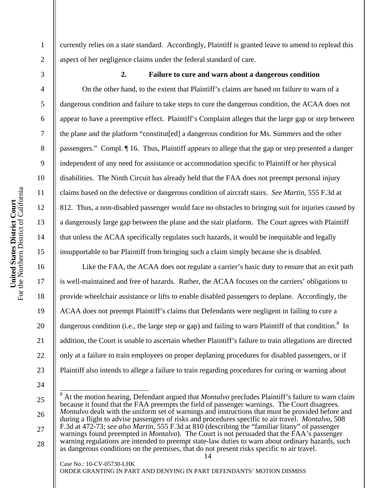3 4 5 6

1

2

7

8

9

10

11

12

13

14

15

16

17

18

19

20

21

22

23

currently relies on a state standard. Accordingly, Plaintiff is granted leave to amend to replead this aspect of her negligence claims under the federal standard of care.

**2. Failure to cure and warn about a dangerous condition** 

On the other hand, to the extent that Plaintiff's claims are based on failure to warn of a dangerous condition and failure to take steps to cure the dangerous condition, the ACAA does not appear to have a preemptive effect. Plaintiff's Complaint alleges that the large gap or step between the plane and the platform "constitut[ed] a dangerous condition for Ms. Summers and the other passengers." Compl. ¶ 16. Thus, Plaintiff appears to allege that the gap or step presented a danger independent of any need for assistance or accommodation specific to Plaintiff or her physical disabilities. The Ninth Circuit has already held that the FAA does not preempt personal injury claims based on the defective or dangerous condition of aircraft stairs. *See Martin*, 555 F.3d at 812. Thus, a non-disabled passenger would face no obstacles to bringing suit for injuries caused by a dangerously large gap between the plane and the stair platform. The Court agrees with Plaintiff that unless the ACAA specifically regulates such hazards, it would be inequitable and legally insupportable to bar Plaintiff from bringing such a claim simply because she is disabled.

Like the FAA, the ACAA does not regulate a carrier's basic duty to ensure that an exit path is well-maintained and free of hazards. Rather, the ACAA focuses on the carriers' obligations to provide wheelchair assistance or lifts to enable disabled passengers to deplane. Accordingly, the ACAA does not preempt Plaintiff's claims that Defendants were negligent in failing to cure a dangerous condition (i.e., the large step or gap) and failing to warn Plaintiff of that condition.<sup>8</sup> In addition, the Court is unable to ascertain whether Plaintiff's failure to train allegations are directed only at a failure to train employees on proper deplaning procedures for disabled passengers, or if Plaintiff also intends to allege a failure to train regarding procedures for curing or warning about

24 25

Case No.: 10-CV-05730-LHK

26 27 28 <sup>8</sup> At the motion hearing, Defendant argued that *Montalvo* precludes Plaintiff's failure to warn claim because it found that the FAA preempts the field of passenger warnings. The Court disagrees. *Montalvo* dealt with the uniform set of warnings and instructions that must be provided before and during a flight to advise passengers of risks and procedures specific to air travel. *Montalvo*, 508 F.3d at 472-73; *see also Martin*, 555 F.3d at 810 (describing the "familiar litany" of passenger warnings found preempted in *Montalvo*). The Court is not persuaded that the FAA's passenger warning regulations are intended to preempt state-law duties to warn about ordinary hazards, such as dangerous conditions on the premises, that do not present risks specific to air travel.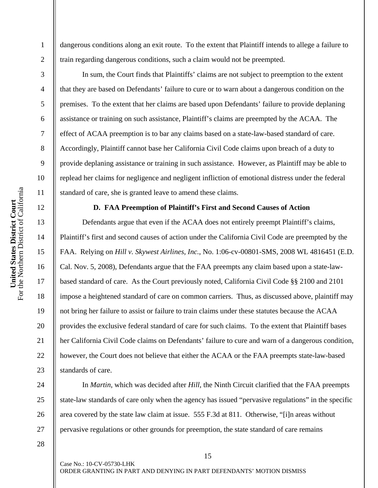dangerous conditions along an exit route. To the extent that Plaintiff intends to allege a failure to train regarding dangerous conditions, such a claim would not be preempted.

In sum, the Court finds that Plaintiffs' claims are not subject to preemption to the extent that they are based on Defendants' failure to cure or to warn about a dangerous condition on the premises. To the extent that her claims are based upon Defendants' failure to provide deplaning assistance or training on such assistance, Plaintiff's claims are preempted by the ACAA. The effect of ACAA preemption is to bar any claims based on a state-law-based standard of care. Accordingly, Plaintiff cannot base her California Civil Code claims upon breach of a duty to provide deplaning assistance or training in such assistance. However, as Plaintiff may be able to replead her claims for negligence and negligent infliction of emotional distress under the federal standard of care, she is granted leave to amend these claims.

### **D. FAA Preemption of Plaintiff's First and Second Causes of Action**

Defendants argue that even if the ACAA does not entirely preempt Plaintiff's claims, Plaintiff's first and second causes of action under the California Civil Code are preempted by the FAA. Relying on *Hill v. Skywest Airlines, Inc.*, No. 1:06-cv-00801-SMS, 2008 WL 4816451 (E.D. Cal. Nov. 5, 2008), Defendants argue that the FAA preempts any claim based upon a state-lawbased standard of care. As the Court previously noted, California Civil Code §§ 2100 and 2101 impose a heightened standard of care on common carriers. Thus, as discussed above, plaintiff may not bring her failure to assist or failure to train claims under these statutes because the ACAA provides the exclusive federal standard of care for such claims. To the extent that Plaintiff bases her California Civil Code claims on Defendants' failure to cure and warn of a dangerous condition, however, the Court does not believe that either the ACAA or the FAA preempts state-law-based standards of care.

In *Martin*, which was decided after *Hill*, the Ninth Circuit clarified that the FAA preempts state-law standards of care only when the agency has issued "pervasive regulations" in the specific area covered by the state law claim at issue. 555 F.3d at 811. Otherwise, "[i]n areas without pervasive regulations or other grounds for preemption, the state standard of care remains

1

2

3

4

5

6

7

8

9

10

11

12

13

14

15

16

17

18

19

20

21

22

23

24

25

26

27

28

15

ORDER GRANTING IN PART AND DENYING IN PART DEFENDANTS' MOTION DISMISS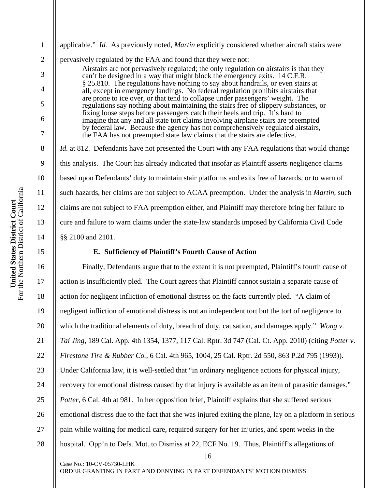For the Northern District of California United States District Court<br>For the Northern District of California **United States District Court** 

1 2 3 4 5 6 7 8 9 10 11 12 13 14 15 16 applicable." *Id.* As previously noted, *Martin* explicitly considered whether aircraft stairs were pervasively regulated by the FAA and found that they were not: Airstairs are not pervasively regulated; the only regulation on airstairs is that they can't be designed in a way that might block the emergency exits. 14 C.F.R. § 25.810. The regulations have nothing to say about handrails, or even stairs at all, except in emergency landings. No federal regulation prohibits airstairs that are prone to ice over, or that tend to collapse under passengers' weight. The regulations say nothing about maintaining the stairs free of slippery substances, or fixing loose steps before passengers catch their heels and trip. It's hard to imagine that any and all state tort claims involving airplane stairs are preempted by federal law. Because the agency has not comprehensively regulated airstairs, the FAA has not preempted state law claims that the stairs are defective. *Id.* at 812. Defendants have not presented the Court with any FAA regulations that would change this analysis. The Court has already indicated that insofar as Plaintiff asserts negligence claims based upon Defendants' duty to maintain stair platforms and exits free of hazards, or to warn of such hazards, her claims are not subject to ACAA preemption. Under the analysis in *Martin*, such claims are not subject to FAA preemption either, and Plaintiff may therefore bring her failure to cure and failure to warn claims under the state-law standards imposed by California Civil Code §§ 2100 and 2101. **E. Sufficiency of Plaintiff's Fourth Cause of Action**  Finally, Defendants argue that to the extent it is not preempted, Plaintiff's fourth cause of action is insufficiently pled. The Court agrees that Plaintiff cannot sustain a separate cause of

16 17 18 19 20 21 22 23 24 25 26 27 28 action for negligent infliction of emotional distress on the facts currently pled. "A claim of negligent infliction of emotional distress is not an independent tort but the tort of negligence to which the traditional elements of duty, breach of duty, causation, and damages apply." *Wong v. Tai Jing*, 189 Cal. App. 4th 1354, 1377, 117 Cal. Rptr. 3d 747 (Cal. Ct. App. 2010) (citing *Potter v. Firestone Tire & Rubber Co.*, 6 Cal. 4th 965, 1004, 25 Cal. Rptr. 2d 550, 863 P.2d 795 (1993)). Under California law, it is well-settled that "in ordinary negligence actions for physical injury, recovery for emotional distress caused by that injury is available as an item of parasitic damages." *Potter*, 6 Cal. 4th at 981. In her opposition brief, Plaintiff explains that she suffered serious emotional distress due to the fact that she was injured exiting the plane, lay on a platform in serious pain while waiting for medical care, required surgery for her injuries, and spent weeks in the hospital. Opp'n to Defs. Mot. to Dismiss at 22, ECF No. 19. Thus, Plaintiff's allegations of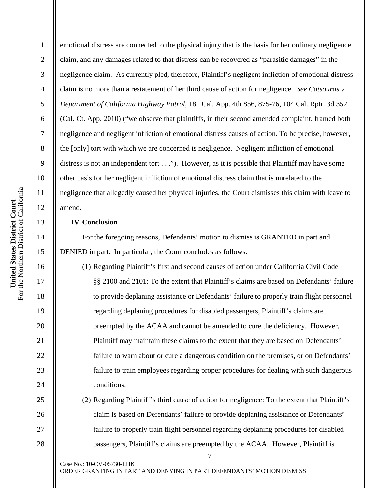2

3

4

5

6

7

8

9

10

11

12

13

14

15

16

17

18

19

20

 $21$ 

22

23

24

25

26

27

28

emotional distress are connected to the physical injury that is the basis for her ordinary negligence claim, and any damages related to that distress can be recovered as "parasitic damages" in the negligence claim. As currently pled, therefore, Plaintiff's negligent infliction of emotional distress claim is no more than a restatement of her third cause of action for negligence. *See Catsouras v. Department of California Highway Patrol*, 181 Cal. App. 4th 856, 875-76, 104 Cal. Rptr. 3d 352 (Cal. Ct. App. 2010) ("we observe that plaintiffs, in their second amended complaint, framed both negligence and negligent infliction of emotional distress causes of action. To be precise, however, the [only] tort with which we are concerned is negligence. Negligent infliction of emotional distress is not an independent tort  $\dots$ "). However, as it is possible that Plaintiff may have some other basis for her negligent infliction of emotional distress claim that is unrelated to the negligence that allegedly caused her physical injuries, the Court dismisses this claim with leave to amend.

## **IV.Conclusion**

For the foregoing reasons, Defendants' motion to dismiss is GRANTED in part and DENIED in part. In particular, the Court concludes as follows:

(1) Regarding Plaintiff's first and second causes of action under California Civil Code §§ 2100 and 2101: To the extent that Plaintiff's claims are based on Defendants' failure to provide deplaning assistance or Defendants' failure to properly train flight personnel regarding deplaning procedures for disabled passengers, Plaintiff's claims are preempted by the ACAA and cannot be amended to cure the deficiency. However, Plaintiff may maintain these claims to the extent that they are based on Defendants' failure to warn about or cure a dangerous condition on the premises, or on Defendants' failure to train employees regarding proper procedures for dealing with such dangerous conditions.

(2) Regarding Plaintiff's third cause of action for negligence: To the extent that Plaintiff's claim is based on Defendants' failure to provide deplaning assistance or Defendants' failure to properly train flight personnel regarding deplaning procedures for disabled passengers, Plaintiff's claims are preempted by the ACAA. However, Plaintiff is

17

ORDER GRANTING IN PART AND DENYING IN PART DEFENDANTS' MOTION DISMISS